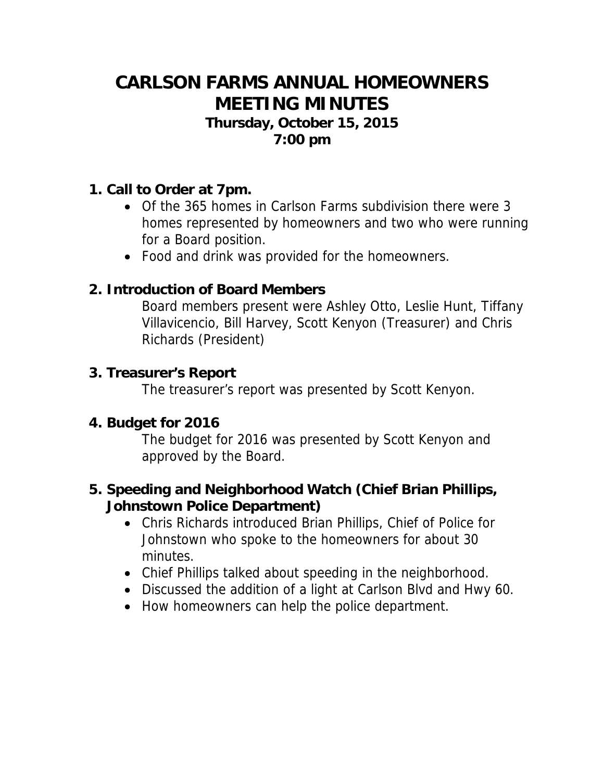# **CARLSON FARMS ANNUAL HOMEOWNERS MEETING MINUTES**

#### **Thursday, October 15, 2015 7:00 pm**

## **1. Call to Order at 7pm.**

- Of the 365 homes in Carlson Farms subdivision there were 3 homes represented by homeowners and two who were running for a Board position.
- Food and drink was provided for the homeowners.

# **2. Introduction of Board Members**

Board members present were Ashley Otto, Leslie Hunt, Tiffany Villavicencio, Bill Harvey, Scott Kenyon (Treasurer) and Chris Richards (President)

## **3. Treasurer's Report**

The treasurer's report was presented by Scott Kenyon.

## **4. Budget for 2016**

The budget for 2016 was presented by Scott Kenyon and approved by the Board.

# **5. Speeding and Neighborhood Watch (Chief Brian Phillips, Johnstown Police Department)**

- Chris Richards introduced Brian Phillips, Chief of Police for Johnstown who spoke to the homeowners for about 30 minutes.
- Chief Phillips talked about speeding in the neighborhood.
- Discussed the addition of a light at Carlson Blvd and Hwy 60.
- How homeowners can help the police department.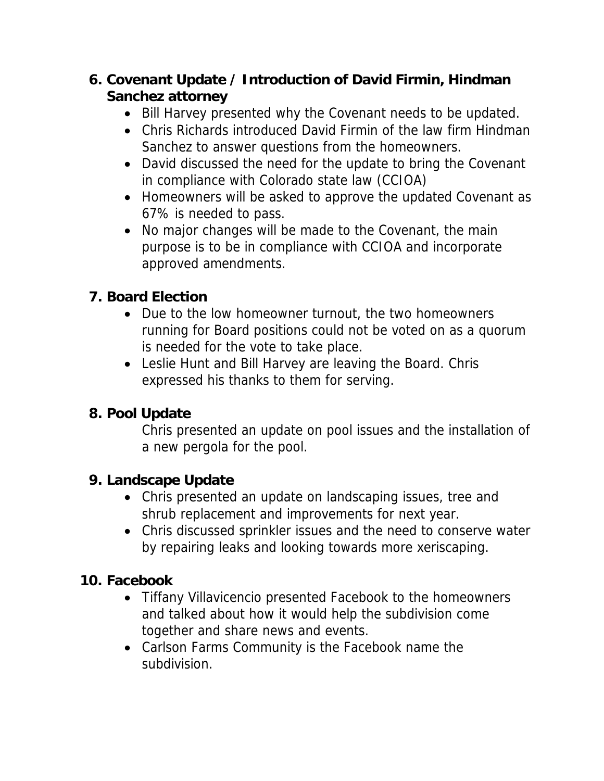# **6. Covenant Update / Introduction of David Firmin, Hindman Sanchez attorney**

- Bill Harvey presented why the Covenant needs to be updated.
- Chris Richards introduced David Firmin of the law firm Hindman Sanchez to answer questions from the homeowners.
- David discussed the need for the update to bring the Covenant in compliance with Colorado state law (CCIOA)
- Homeowners will be asked to approve the updated Covenant as 67% is needed to pass.
- No major changes will be made to the Covenant, the main purpose is to be in compliance with CCIOA and incorporate approved amendments.

# **7. Board Election**

- Due to the low homeowner turnout, the two homeowners running for Board positions could not be voted on as a quorum is needed for the vote to take place.
- Leslie Hunt and Bill Harvey are leaving the Board. Chris expressed his thanks to them for serving.

# **8. Pool Update**

Chris presented an update on pool issues and the installation of a new pergola for the pool.

# **9. Landscape Update**

- Chris presented an update on landscaping issues, tree and shrub replacement and improvements for next year.
- Chris discussed sprinkler issues and the need to conserve water by repairing leaks and looking towards more xeriscaping.

# **10. Facebook**

- Tiffany Villavicencio presented Facebook to the homeowners and talked about how it would help the subdivision come together and share news and events.
- Carlson Farms Community is the Facebook name the subdivision.